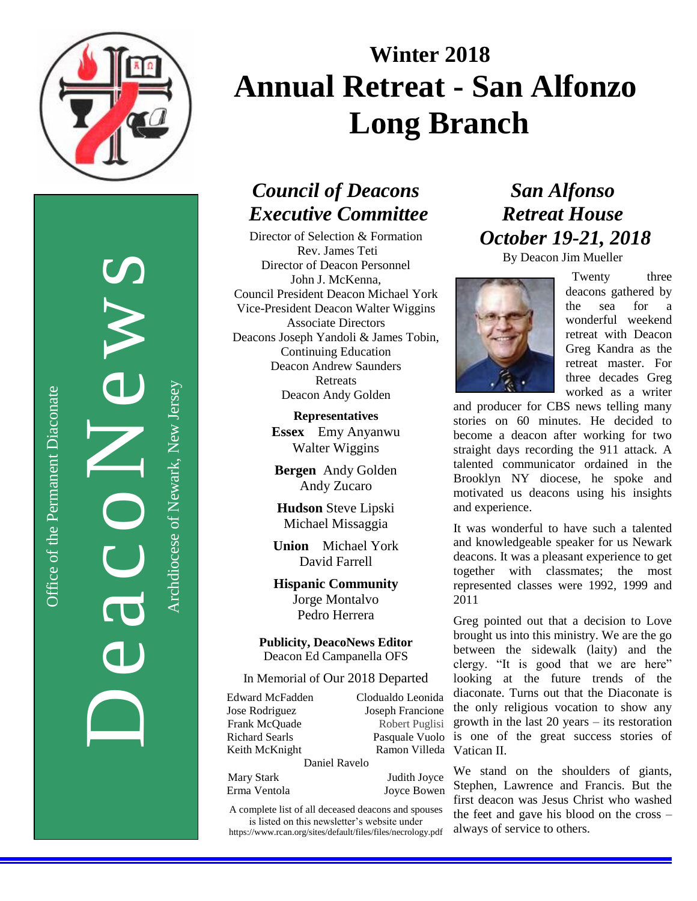

Office of the Permanent Diaconate Office of the Permanent Diaconate

DeacoNews of NUS Archdiocese of Newark, New JerseyArchdiocese of Newark, New Jersey

# **Winter 2018 Annual Retreat - San Alfonzo Long Branch**

## *Council of Deacons Executive Committee*

Director of Selection & Formation Rev. James Teti Director of Deacon Personnel John J. McKenna, Council President Deacon Michael York Vice-President Deacon Walter Wiggins Associate Directors Deacons Joseph Yandoli & James Tobin, Continuing Education Deacon Andrew Saunders **Retreats** Deacon Andy Golden

> **Representatives Essex** Emy Anyanwu Walter Wiggins

**Bergen** Andy Golden Andy Zucaro

**Hudson** Steve Lipski Michael Missaggia

**Union** Michael York David Farrell

**Hispanic Community** Jorge Montalvo Pedro Herrera

**Publicity, DeacoNews Editor** Deacon Ed Campanella OFS

In Memorial of Our 2018 Departed

Edward McFadden Clodualdo Leonida Jose Rodriguez Joseph Francione Frank McQuade Robert Puglisi Richard Searls Pasquale Vuolo Keith McKnight

Ramon Villeda Vatican II.

Daniel Ravelo

Mary Stark Judith Joyce Erma Ventola Joyce Bowen

A complete list of all deceased deacons and spouses is listed on this newsletter's website under

https://www.rcan.org/sites/default/files/files/necrology.pdf

## *San Alfonso Retreat House October 19-21, 2018*

By Deacon Jim Mueller



Twenty three deacons gathered by the sea for a wonderful weekend retreat with Deacon Greg Kandra as the retreat master. For three decades Greg worked as a writer

and producer for CBS news telling many stories on 60 minutes. He decided to become a deacon after working for two straight days recording the 911 attack. A talented communicator ordained in the Brooklyn NY diocese, he spoke and motivated us deacons using his insights and experience.

It was wonderful to have such a talented and knowledgeable speaker for us Newark deacons. It was a pleasant experience to get together with classmates; the most represented classes were 1992, 1999 and 2011

Greg pointed out that a decision to Love brought us into this ministry. We are the go between the sidewalk (laity) and the clergy. "It is good that we are here" looking at the future trends of the diaconate. Turns out that the Diaconate is the only religious vocation to show any growth in the last 20 years – its restoration is one of the great success stories of

We stand on the shoulders of giants, Stephen, Lawrence and Francis. But the first deacon was Jesus Christ who washed the feet and gave his blood on the cross – always of service to others.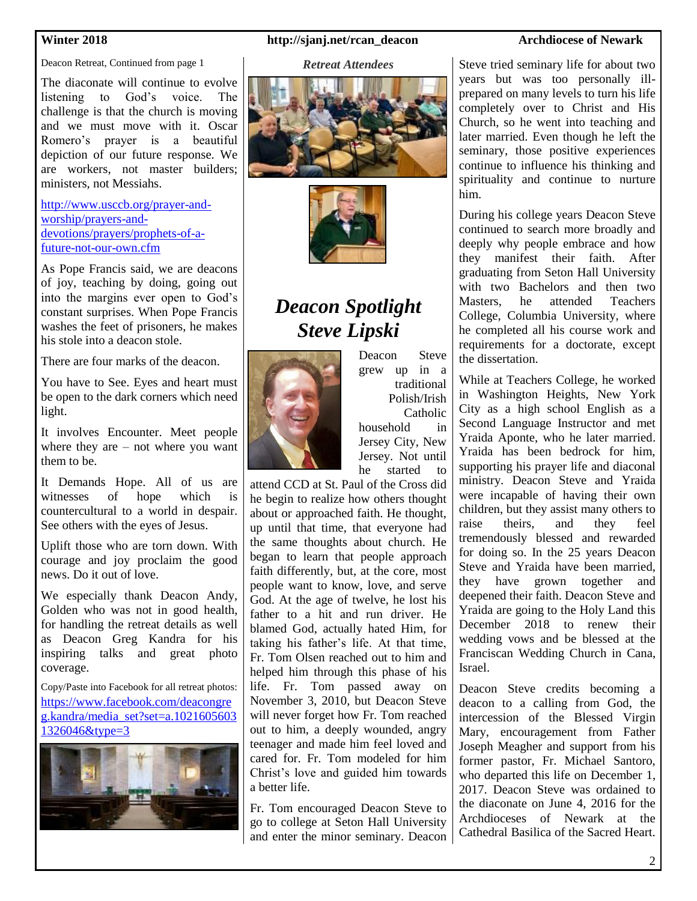Deacon Retreat, Continued from page 1

The diaconate will continue to evolve listening to God's voice. The challenge is that the church is moving and we must move with it. Oscar Romero's prayer is a beautiful depiction of our future response. We are workers, not master builders; ministers, not Messiahs.

[http://www.usccb.org/prayer-and](http://www.usccb.org/prayer-and-worship/prayers-and-devotions/prayers/prophets-of-a-future-not-our-own.cfm)[worship/prayers-and](http://www.usccb.org/prayer-and-worship/prayers-and-devotions/prayers/prophets-of-a-future-not-our-own.cfm)[devotions/prayers/prophets-of-a](http://www.usccb.org/prayer-and-worship/prayers-and-devotions/prayers/prophets-of-a-future-not-our-own.cfm)[future-not-our-own.cfm](http://www.usccb.org/prayer-and-worship/prayers-and-devotions/prayers/prophets-of-a-future-not-our-own.cfm)

As Pope Francis said, we are deacons of joy, teaching by doing, going out into the margins ever open to God's constant surprises. When Pope Francis washes the feet of prisoners, he makes his stole into a deacon stole.

There are four marks of the deacon.

You have to See. Eyes and heart must be open to the dark corners which need light.

It involves Encounter. Meet people where they are – not where you want them to be.

It Demands Hope. All of us are witnesses of hope which is countercultural to a world in despair. See others with the eyes of Jesus.

Uplift those who are torn down. With courage and joy proclaim the good news. Do it out of love.

We especially thank Deacon Andy, Golden who was not in good health, for handling the retreat details as well as Deacon Greg Kandra for his inspiring talks and great photo coverage.

Copy/Paste into Facebook for all retreat photos: [https://www.facebook.com/deacongre](https://www.facebook.com/deacongreg.kandra/media_set?set=a.10216056031326046&type=3) [g.kandra/media\\_set?set=a.1021605603](https://www.facebook.com/deacongreg.kandra/media_set?set=a.10216056031326046&type=3) [1326046&type=3](https://www.facebook.com/deacongreg.kandra/media_set?set=a.10216056031326046&type=3)



### **Winter 2018 http://sjanj.net/rcan\_deacon Archdiocese of Newark**

### *Retreat Attendees*





## *Deacon Spotlight Steve Lipski*



Deacon Steve grew up in a traditional Polish/Irish Catholic household in Jersey City, New Jersey. Not until

he started to attend CCD at St. Paul of the Cross did he begin to realize how others thought about or approached faith. He thought, up until that time, that everyone had the same thoughts about church. He began to learn that people approach faith differently, but, at the core, most people want to know, love, and serve God. At the age of twelve, he lost his father to a hit and run driver. He blamed God, actually hated Him, for taking his father's life. At that time, Fr. Tom Olsen reached out to him and helped him through this phase of his life. Fr. Tom passed away on November 3, 2010, but Deacon Steve will never forget how Fr. Tom reached out to him, a deeply wounded, angry teenager and made him feel loved and cared for. Fr. Tom modeled for him Christ's love and guided him towards a better life.

Fr. Tom encouraged Deacon Steve to go to college at Seton Hall University and enter the minor seminary. Deacon

Steve tried seminary life for about two years but was too personally illprepared on many levels to turn his life completely over to Christ and His Church, so he went into teaching and later married. Even though he left the seminary, those positive experiences continue to influence his thinking and spirituality and continue to nurture him.

During his college years Deacon Steve continued to search more broadly and deeply why people embrace and how they manifest their faith. After graduating from Seton Hall University with two Bachelors and then two Masters, he attended Teachers College, Columbia University, where he completed all his course work and requirements for a doctorate, except the dissertation.

While at Teachers College, he worked in Washington Heights, New York City as a high school English as a Second Language Instructor and met Yraida Aponte, who he later married. Yraida has been bedrock for him, supporting his prayer life and diaconal ministry. Deacon Steve and Yraida were incapable of having their own children, but they assist many others to raise theirs, and they feel tremendously blessed and rewarded for doing so. In the 25 years Deacon Steve and Yraida have been married, they have grown together and deepened their faith. Deacon Steve and Yraida are going to the Holy Land this December 2018 to renew their wedding vows and be blessed at the Franciscan Wedding Church in Cana, Israel.

Deacon Steve credits becoming a deacon to a calling from God, the intercession of the Blessed Virgin Mary, encouragement from Father Joseph Meagher and support from his former pastor, Fr. Michael Santoro, who departed this life on December 1, 2017. Deacon Steve was ordained to the diaconate on June 4, 2016 for the Archdioceses of Newark at the Cathedral Basilica of the Sacred Heart.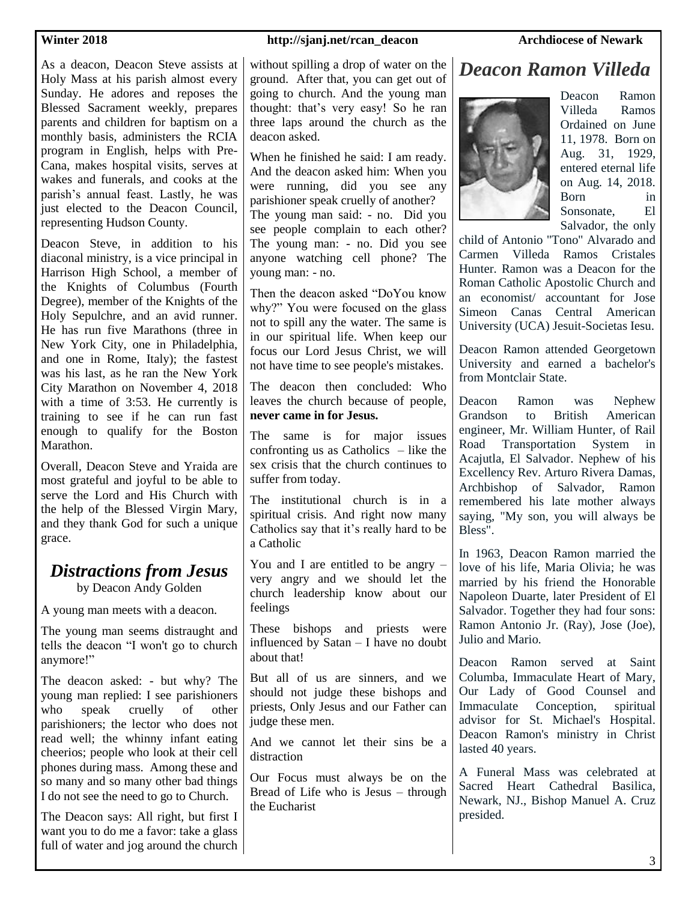**Winter 2018 http://sjanj.net/rcan\_deacon Archdiocese of Newark** 

As a deacon, Deacon Steve assists at Holy Mass at his parish almost every Sunday. He adores and reposes the Blessed Sacrament weekly, prepares parents and children for baptism on a monthly basis, administers the RCIA program in English, helps with Pre-Cana, makes hospital visits, serves at wakes and funerals, and cooks at the parish's annual feast. Lastly, he was just elected to the Deacon Council, representing Hudson County.

Deacon Steve, in addition to his diaconal ministry, is a vice principal in Harrison High School, a member of the Knights of Columbus (Fourth Degree), member of the Knights of the Holy Sepulchre, and an avid runner. He has run five Marathons (three in New York City, one in Philadelphia, and one in Rome, Italy); the fastest was his last, as he ran the New York City Marathon on November 4, 2018 with a time of 3:53. He currently is training to see if he can run fast enough to qualify for the Boston Marathon.

Overall, Deacon Steve and Yraida are most grateful and joyful to be able to serve the Lord and His Church with the help of the Blessed Virgin Mary, and they thank God for such a unique grace.

### *Distractions from Jesus*

by Deacon Andy Golden

A young man meets with a deacon.

The young man seems distraught and tells the deacon "I won't go to church anymore!"

The deacon asked: - but why? The young man replied: I see parishioners who speak cruelly of other parishioners; the lector who does not read well; the whinny infant eating cheerios; people who look at their cell phones during mass. Among these and so many and so many other bad things I do not see the need to go to Church.

The Deacon says: All right, but first I want you to do me a favor: take a glass full of water and jog around the church without spilling a drop of water on the ground. After that, you can get out of going to church. And the young man thought: that's very easy! So he ran three laps around the church as the deacon asked.

When he finished he said: I am ready. And the deacon asked him: When you were running, did you see any parishioner speak cruelly of another? The young man said: - no. Did you see people complain to each other? The young man: - no. Did you see anyone watching cell phone? The young man: - no.

Then the deacon asked "DoYou know why?" You were focused on the glass not to spill any the water. The same is in our spiritual life. When keep our focus our Lord Jesus Christ, we will not have time to see people's mistakes.

The deacon then concluded: Who leaves the church because of people, **never came in for Jesus.**

The same is for major issues confronting us as Catholics – like the sex crisis that the church continues to suffer from today.

The institutional church is in a spiritual crisis. And right now many Catholics say that it's really hard to be a Catholic

You and I are entitled to be angry – very angry and we should let the church leadership know about our feelings

These bishops and priests were influenced by Satan – I have no doubt about that!

But all of us are sinners, and we should not judge these bishops and priests, Only Jesus and our Father can judge these men.

And we cannot let their sins be a distraction

Our Focus must always be on the Bread of Life who is Jesus – through the Eucharist

### *Deacon Ramon Villeda*



Deacon Ramon Villeda Ramos Ordained on June 11, 1978. Born on Aug. 31, 1929, entered eternal life on Aug. 14, 2018. Born in Sonsonate, El Salvador, the only

child of Antonio "Tono" Alvarado and Carmen Villeda Ramos Cristales Hunter. Ramon was a Deacon for the Roman Catholic Apostolic Church and an economist/ accountant for Jose Simeon Canas Central American University (UCA) Jesuit-Societas Iesu.

Deacon Ramon attended Georgetown University and earned a bachelor's from Montclair State.

Deacon Ramon was Nephew Grandson to British American engineer, Mr. William Hunter, of Rail Road Transportation System in Acajutla, El Salvador. Nephew of his Excellency Rev. Arturo Rivera Damas, Archbishop of Salvador, Ramon remembered his late mother always saying, "My son, you will always be Bless".

In 1963, Deacon Ramon married the love of his life, Maria Olivia; he was married by his friend the Honorable Napoleon Duarte, later President of El Salvador. Together they had four sons: Ramon Antonio Jr. (Ray), Jose (Joe), Julio and Mario.

Deacon Ramon served at Saint Columba, Immaculate Heart of Mary, Our Lady of Good Counsel and Immaculate Conception, spiritual advisor for St. Michael's Hospital. Deacon Ramon's ministry in Christ lasted 40 years.

A Funeral Mass was celebrated at Sacred Heart Cathedral Basilica, Newark, NJ., Bishop Manuel A. Cruz presided.